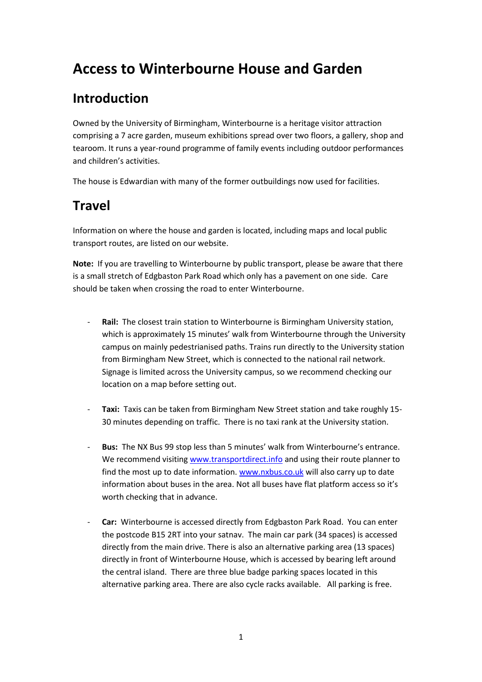# **Access to Winterbourne House and Garden**

# **Introduction**

Owned by the University of Birmingham, Winterbourne is a heritage visitor attraction comprising a 7 acre garden, museum exhibitions spread over two floors, a gallery, shop and tearoom. It runs a year-round programme of family events including outdoor performances and children's activities.

The house is Edwardian with many of the former outbuildings now used for facilities.

# **Travel**

Information on where the house and garden is located, including maps and local public transport routes, are listed on our website.

**Note:** If you are travelling to Winterbourne by public transport, please be aware that there is a small stretch of Edgbaston Park Road which only has a pavement on one side. Care should be taken when crossing the road to enter Winterbourne.

- **Rail:** The closest train station to Winterbourne is Birmingham University station, which is approximately 15 minutes' walk from Winterbourne through the University campus on mainly pedestrianised paths. Trains run directly to the University station from Birmingham New Street, which is connected to the national rail network. Signage is limited across the University campus, so we recommend checking our location on a map before setting out.
- **Taxi:** Taxis can be taken from Birmingham New Street station and take roughly 15- 30 minutes depending on traffic. There is no taxi rank at the University station.
- Bus: The NX Bus 99 stop less than 5 minutes' walk from Winterbourne's entrance. We recommend visitin[g www.transportdirect.info](http://www.transportdirect.info/) and using their route planner to find the most up to date information[. www.nxbus.co.uk](http://www.nxbus.co.uk/) will also carry up to date information about buses in the area. Not all buses have flat platform access so it's worth checking that in advance.
- Car: Winterbourne is accessed directly from Edgbaston Park Road. You can enter the postcode B15 2RT into your satnav. The main car park (34 spaces) is accessed directly from the main drive. There is also an alternative parking area (13 spaces) directly in front of Winterbourne House, which is accessed by bearing left around the central island. There are three blue badge parking spaces located in this alternative parking area. There are also cycle racks available. All parking is free.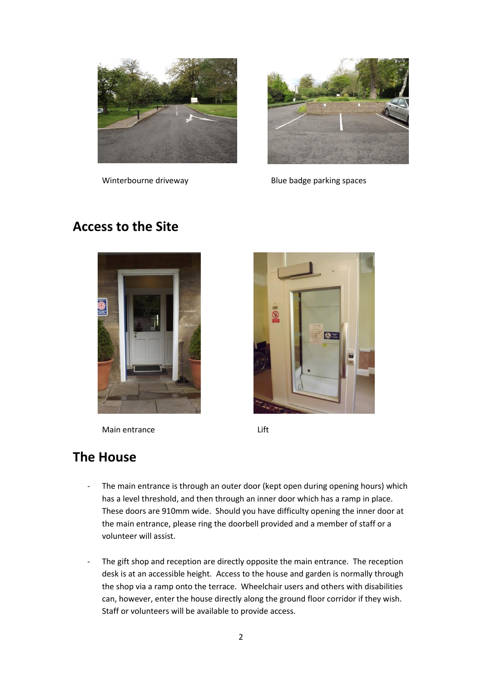



Winterbourne driveway and a series of Blue badge parking spaces

## **Access to the Site**



Main entrance Lift



## **The House**

- The main entrance is through an outer door (kept open during opening hours) which has a level threshold, and then through an inner door which has a ramp in place. These doors are 910mm wide. Should you have difficulty opening the inner door at the main entrance, please ring the doorbell provided and a member of staff or a volunteer will assist.
- The gift shop and reception are directly opposite the main entrance. The reception desk is at an accessible height. Access to the house and garden is normally through the shop via a ramp onto the terrace. Wheelchair users and others with disabilities can, however, enter the house directly along the ground floor corridor if they wish. Staff or volunteers will be available to provide access.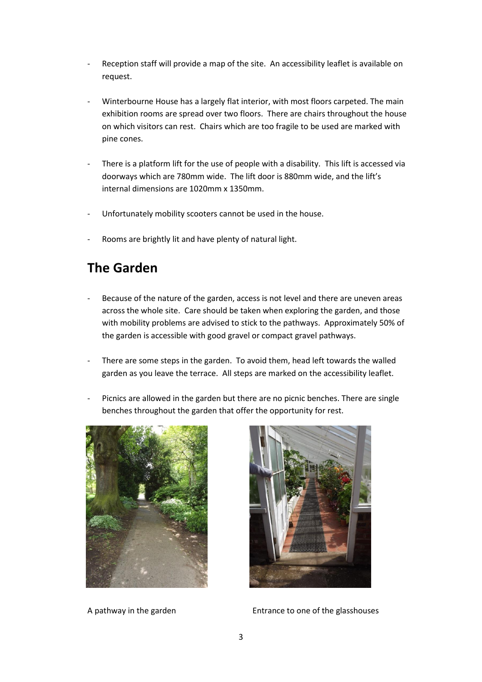- Reception staff will provide a map of the site. An accessibility leaflet is available on request.
- Winterbourne House has a largely flat interior, with most floors carpeted. The main exhibition rooms are spread over two floors. There are chairs throughout the house on which visitors can rest. Chairs which are too fragile to be used are marked with pine cones.
- There is a platform lift for the use of people with a disability. This lift is accessed via doorways which are 780mm wide. The lift door is 880mm wide, and the lift's internal dimensions are 1020mm x 1350mm.
- Unfortunately mobility scooters cannot be used in the house.
- Rooms are brightly lit and have plenty of natural light.

## **The Garden**

- Because of the nature of the garden, access is not level and there are uneven areas across the whole site. Care should be taken when exploring the garden, and those with mobility problems are advised to stick to the pathways. Approximately 50% of the garden is accessible with good gravel or compact gravel pathways.
- There are some steps in the garden. To avoid them, head left towards the walled garden as you leave the terrace. All steps are marked on the accessibility leaflet.
- Picnics are allowed in the garden but there are no picnic benches. There are single benches throughout the garden that offer the opportunity for rest.





A pathway in the garden Entrance to one of the glasshouses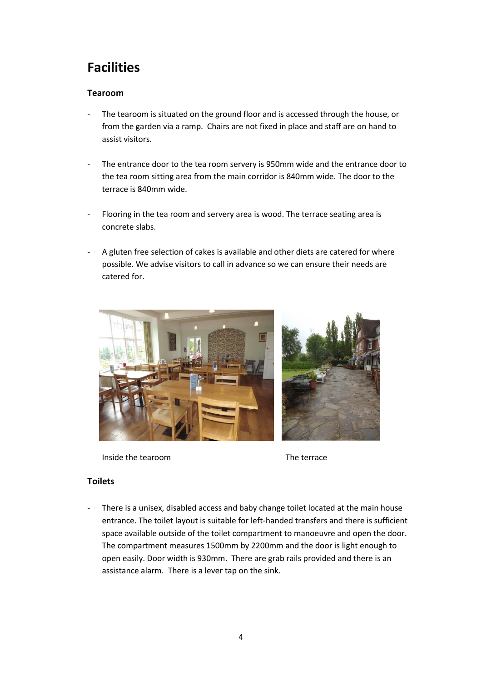# **Facilities**

### **Tearoom**

- The tearoom is situated on the ground floor and is accessed through the house, or from the garden via a ramp. Chairs are not fixed in place and staff are on hand to assist visitors.
- The entrance door to the tea room servery is 950mm wide and the entrance door to the tea room sitting area from the main corridor is 840mm wide. The door to the terrace is 840mm wide.
- Flooring in the tea room and servery area is wood. The terrace seating area is concrete slabs.
- A gluten free selection of cakes is available and other diets are catered for where possible. We advise visitors to call in advance so we can ensure their needs are catered for.



Inside the tearoom and the terrace

### **Toilets**

There is a unisex, disabled access and baby change toilet located at the main house entrance. The toilet layout is suitable for left-handed transfers and there is sufficient space available outside of the toilet compartment to manoeuvre and open the door. The compartment measures 1500mm by 2200mm and the door is light enough to open easily. Door width is 930mm. There are grab rails provided and there is an assistance alarm. There is a lever tap on the sink.